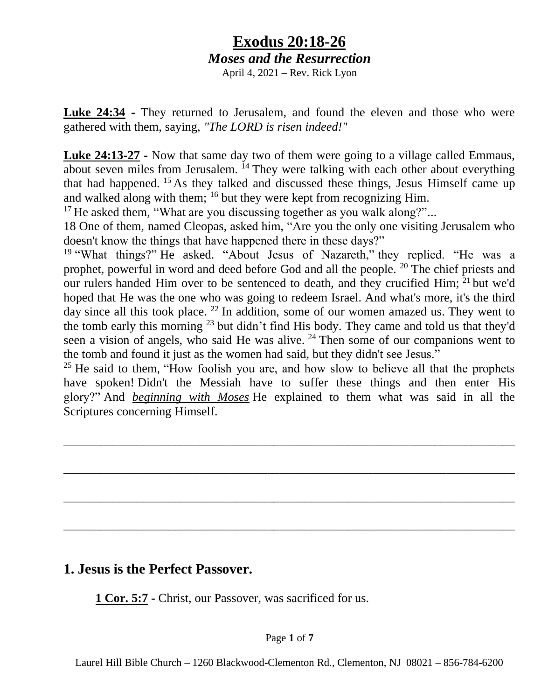## **Exodus 20:18-26** *Moses and the Resurrection*

April 4, 2021 – Rev. Rick Lyon

**Luke 24:34 -** They returned to Jerusalem, and found the eleven and those who were gathered with them, saying, *"The LORD is risen indeed!"*

**Luke 24:13-27 -** Now that same day two of them were going to a village called Emmaus, about seven miles from Jerusalem. <sup>14</sup> They were talking with each other about everything that had happened. <sup>15</sup> As they talked and discussed these things, Jesus Himself came up and walked along with them; <sup>16</sup> but they were kept from recognizing Him.

<sup>17</sup> He asked them, "What are you discussing together as you walk along?"...

18 One of them, named Cleopas, asked him, "Are you the only one visiting Jerusalem who doesn't know the things that have happened there in these days?"

<sup>19</sup> "What things?" He asked. "About Jesus of Nazareth," they replied. "He was a prophet, powerful in word and deed before God and all the people. <sup>20</sup> The chief priests and our rulers handed Him over to be sentenced to death, and they crucified Him; <sup>21</sup> but we'd hoped that He was the one who was going to redeem Israel. And what's more, it's the third day since all this took place.  $22 \text{ In addition, some of our women amazed us. They went to }$ the tomb early this morning <sup>23</sup> but didn't find His body. They came and told us that they'd seen a vision of angels, who said He was alive. <sup>24</sup> Then some of our companions went to the tomb and found it just as the women had said, but they didn't see Jesus."

 $25$  He said to them, "How foolish you are, and how slow to believe all that the prophets have spoken! Didn't the Messiah have to suffer these things and then enter His glory?" And *beginning with Moses* He explained to them what was said in all the Scriptures concerning Himself.

\_\_\_\_\_\_\_\_\_\_\_\_\_\_\_\_\_\_\_\_\_\_\_\_\_\_\_\_\_\_\_\_\_\_\_\_\_\_\_\_\_\_\_\_\_\_\_\_\_\_\_\_\_\_\_\_\_\_\_\_\_\_\_\_\_\_\_\_\_\_\_\_\_

\_\_\_\_\_\_\_\_\_\_\_\_\_\_\_\_\_\_\_\_\_\_\_\_\_\_\_\_\_\_\_\_\_\_\_\_\_\_\_\_\_\_\_\_\_\_\_\_\_\_\_\_\_\_\_\_\_\_\_\_\_\_\_\_\_\_\_\_\_\_\_\_\_

\_\_\_\_\_\_\_\_\_\_\_\_\_\_\_\_\_\_\_\_\_\_\_\_\_\_\_\_\_\_\_\_\_\_\_\_\_\_\_\_\_\_\_\_\_\_\_\_\_\_\_\_\_\_\_\_\_\_\_\_\_\_\_\_\_\_\_\_\_\_\_\_\_

\_\_\_\_\_\_\_\_\_\_\_\_\_\_\_\_\_\_\_\_\_\_\_\_\_\_\_\_\_\_\_\_\_\_\_\_\_\_\_\_\_\_\_\_\_\_\_\_\_\_\_\_\_\_\_\_\_\_\_\_\_\_\_\_\_\_\_\_\_\_\_\_\_

#### **1. Jesus is the Perfect Passover.**

**1 Cor. 5:7 -** Christ, our Passover, was sacrificed for us.

#### Page **1** of **7**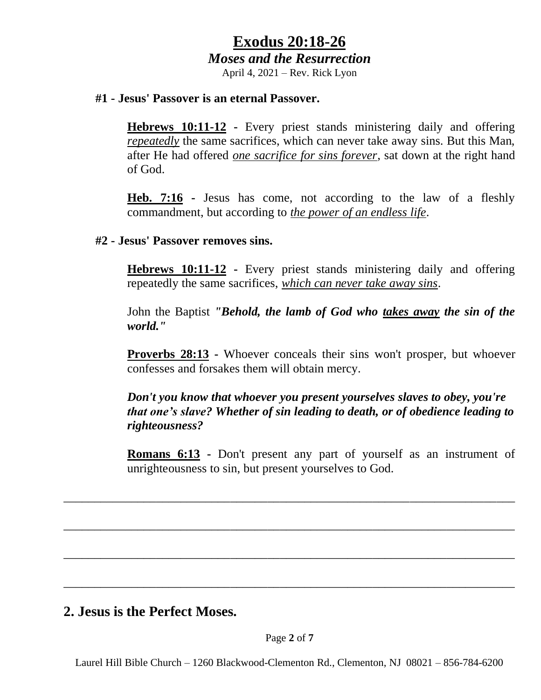## **Exodus 20:18-26**

#### *Moses and the Resurrection*

April 4, 2021 – Rev. Rick Lyon

#### **#1 - Jesus' Passover is an eternal Passover.**

**Hebrews 10:11-12 -** Every priest stands ministering daily and offering *repeatedly* the same sacrifices, which can never take away sins. But this Man, after He had offered *one sacrifice for sins forever*, sat down at the right hand of God.

**Heb. 7:16 -** Jesus has come, not according to the law of a fleshly commandment, but according to *the power of an endless life*.

#### **#2 - Jesus' Passover removes sins.**

**Hebrews 10:11-12 -** Every priest stands ministering daily and offering repeatedly the same sacrifices, *which can never take away sins*.

John the Baptist *"Behold, the lamb of God who takes away the sin of the world."*

**Proverbs 28:13 -** Whoever conceals their sins won't prosper, but whoever confesses and forsakes them will obtain mercy.

*Don't you know that whoever you present yourselves slaves to obey, you're that one's slave? Whether of sin leading to death, or of obedience leading to righteousness?*

**Romans 6:13 -** Don't present any part of yourself as an instrument of unrighteousness to sin, but present yourselves to God.

### **2. Jesus is the Perfect Moses.**

\_\_\_\_\_\_\_\_\_\_\_\_\_\_\_\_\_\_\_\_\_\_\_\_\_\_\_\_\_\_\_\_\_\_\_\_\_\_\_\_\_\_\_\_\_\_\_\_\_\_\_\_\_\_\_\_\_\_\_\_\_\_\_\_\_\_\_\_\_\_\_\_\_

\_\_\_\_\_\_\_\_\_\_\_\_\_\_\_\_\_\_\_\_\_\_\_\_\_\_\_\_\_\_\_\_\_\_\_\_\_\_\_\_\_\_\_\_\_\_\_\_\_\_\_\_\_\_\_\_\_\_\_\_\_\_\_\_\_\_\_\_\_\_\_\_\_

\_\_\_\_\_\_\_\_\_\_\_\_\_\_\_\_\_\_\_\_\_\_\_\_\_\_\_\_\_\_\_\_\_\_\_\_\_\_\_\_\_\_\_\_\_\_\_\_\_\_\_\_\_\_\_\_\_\_\_\_\_\_\_\_\_\_\_\_\_\_\_\_\_

\_\_\_\_\_\_\_\_\_\_\_\_\_\_\_\_\_\_\_\_\_\_\_\_\_\_\_\_\_\_\_\_\_\_\_\_\_\_\_\_\_\_\_\_\_\_\_\_\_\_\_\_\_\_\_\_\_\_\_\_\_\_\_\_\_\_\_\_\_\_\_\_\_

Laurel Hill Bible Church – 1260 Blackwood-Clementon Rd., Clementon, NJ 08021 – 856-784-6200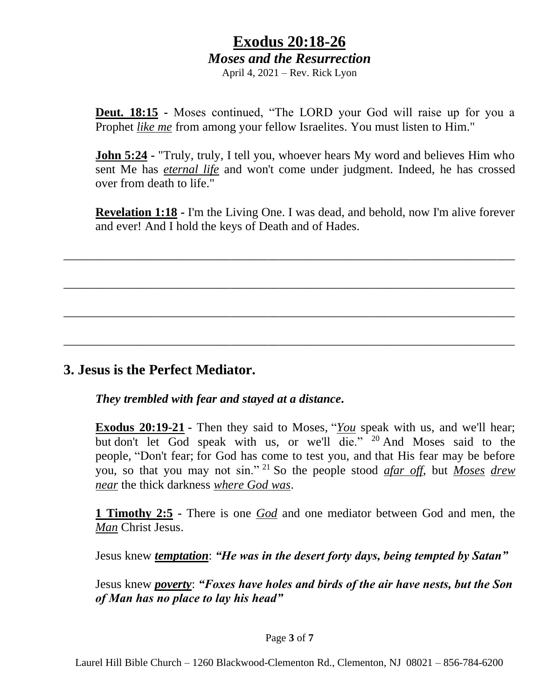# **Exodus 20:18-26** *Moses and the Resurrection*

April 4, 2021 – Rev. Rick Lyon

**Deut. 18:15 -** Moses continued, "The LORD your God will raise up for you a Prophet *like me* from among your fellow Israelites. You must listen to Him."

**John 5:24 -** "Truly, truly, I tell you, whoever hears My word and believes Him who sent Me has *eternal life* and won't come under judgment. Indeed, he has crossed over from death to life."

**Revelation 1:18 -** I'm the Living One. I was dead, and behold, now I'm alive forever and ever! And I hold the keys of Death and of Hades.

\_\_\_\_\_\_\_\_\_\_\_\_\_\_\_\_\_\_\_\_\_\_\_\_\_\_\_\_\_\_\_\_\_\_\_\_\_\_\_\_\_\_\_\_\_\_\_\_\_\_\_\_\_\_\_\_\_\_\_\_\_\_\_\_\_\_\_\_\_\_\_\_\_

\_\_\_\_\_\_\_\_\_\_\_\_\_\_\_\_\_\_\_\_\_\_\_\_\_\_\_\_\_\_\_\_\_\_\_\_\_\_\_\_\_\_\_\_\_\_\_\_\_\_\_\_\_\_\_\_\_\_\_\_\_\_\_\_\_\_\_\_\_\_\_\_\_

\_\_\_\_\_\_\_\_\_\_\_\_\_\_\_\_\_\_\_\_\_\_\_\_\_\_\_\_\_\_\_\_\_\_\_\_\_\_\_\_\_\_\_\_\_\_\_\_\_\_\_\_\_\_\_\_\_\_\_\_\_\_\_\_\_\_\_\_\_\_\_\_\_

\_\_\_\_\_\_\_\_\_\_\_\_\_\_\_\_\_\_\_\_\_\_\_\_\_\_\_\_\_\_\_\_\_\_\_\_\_\_\_\_\_\_\_\_\_\_\_\_\_\_\_\_\_\_\_\_\_\_\_\_\_\_\_\_\_\_\_\_\_\_\_\_\_

### **3. Jesus is the Perfect Mediator.**

*They trembled with fear and stayed at a distance.*

**Exodus 20:19-21 -** Then they said to Moses, "*You* speak with us, and we'll hear; but don't let God speak with us, or we'll die." <sup>20</sup> And Moses said to the people, "Don't fear; for God has come to test you, and that His fear may be before you, so that you may not sin." <sup>21</sup> So the people stood *afar off*, but *Moses drew near* the thick darkness *where God was*.

**1 Timothy 2:5 -** There is one *God* and one mediator between God and men, the *Man* Christ Jesus.

Jesus knew *temptation*: *"He was in the desert forty days, being tempted by Satan"* 

Jesus knew *poverty*: *"Foxes have holes and birds of the air have nests, but the Son of Man has no place to lay his head"*

#### Page **3** of **7**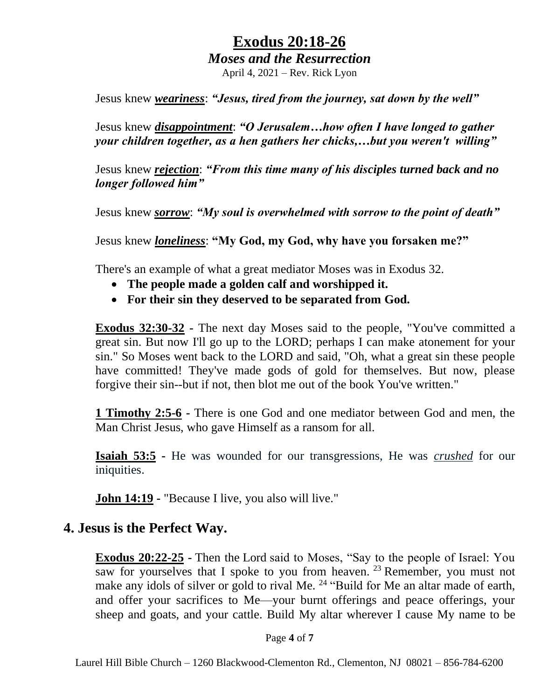## **Exodus 20:18-26**

#### *Moses and the Resurrection*

April 4, 2021 – Rev. Rick Lyon

Jesus knew *weariness*: *"Jesus, tired from the journey, sat down by the well"* 

Jesus knew *disappointment*: *"O Jerusalem…how often I have longed to gather your children together, as a hen gathers her chicks,…but you weren't willing"* 

Jesus knew *rejection*: *"From this time many of his disciples turned back and no longer followed him"* 

Jesus knew *sorrow*: *"My soul is overwhelmed with sorrow to the point of death"* 

Jesus knew *loneliness*: **"My God, my God, why have you forsaken me?"**

There's an example of what a great mediator Moses was in Exodus 32.

- **The people made a golden calf and worshipped it.**
- **For their sin they deserved to be separated from God.**

**Exodus 32:30-32 -** The next day Moses said to the people, "You've committed a great sin. But now I'll go up to the LORD; perhaps I can make atonement for your sin." So Moses went back to the LORD and said, "Oh, what a great sin these people have committed! They've made gods of gold for themselves. But now, please forgive their sin--but if not, then blot me out of the book You've written."

**1 Timothy 2:5-6 -** There is one God and one mediator between God and men, the Man Christ Jesus, who gave Himself as a ransom for all.

**Isaiah 53:5 -** He was wounded for our transgressions, He was *crushed* for our iniquities.

**John 14:19 -** "Because I live, you also will live."

#### **4. Jesus is the Perfect Way.**

**Exodus 20:22-25 -** Then the Lord said to Moses, "Say to the people of Israel: You saw for yourselves that I spoke to you from heaven. <sup>23</sup> Remember, you must not make any idols of silver or gold to rival Me. <sup>24</sup> "Build for Me an altar made of earth, and offer your sacrifices to Me—your burnt offerings and peace offerings, your sheep and goats, and your cattle. Build My altar wherever I cause My name to be

Page **4** of **7**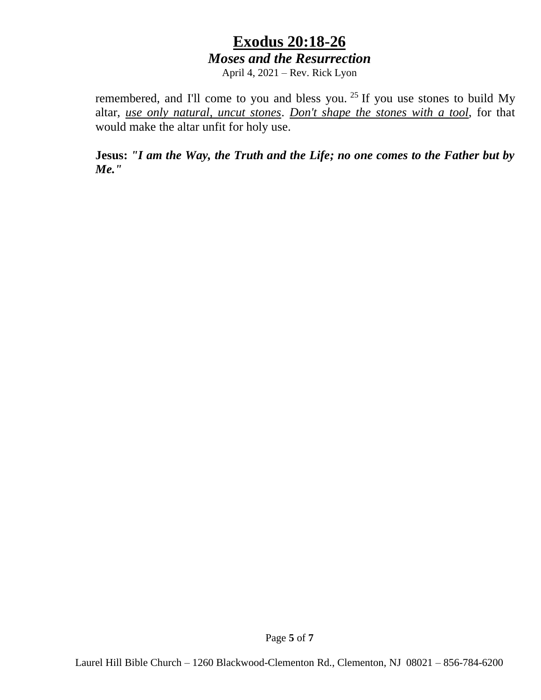## **Exodus 20:18-26** *Moses and the Resurrection*

April 4, 2021 – Rev. Rick Lyon

remembered, and I'll come to you and bless you.  $25$  If you use stones to build My altar, *use only natural, uncut stones*. *Don't shape the stones with a tool*, for that would make the altar unfit for holy use.

**Jesus:** *"I am the Way, the Truth and the Life; no one comes to the Father but by Me."*

Page **5** of **7**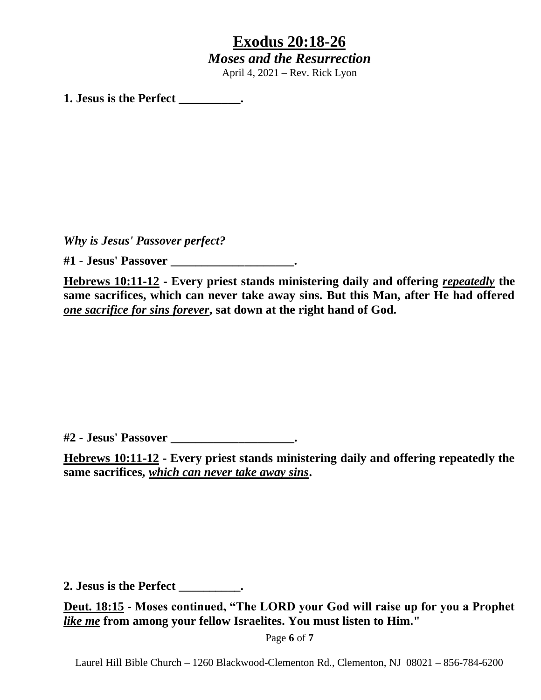## **Exodus 20:18-26** *Moses and the Resurrection* April 4, 2021 – Rev. Rick Lyon

**1. Jesus is the Perfect \_\_\_\_\_\_\_\_\_\_.**

*Why is Jesus' Passover perfect?*

**#1 - Jesus' Passover \_\_\_\_\_\_\_\_\_\_\_\_\_\_\_\_\_\_\_\_.**

**Hebrews 10:11-12 - Every priest stands ministering daily and offering** *repeatedly* **the same sacrifices, which can never take away sins. But this Man, after He had offered**  *one sacrifice for sins forever***, sat down at the right hand of God.**

**#2 - Jesus' Passover \_\_\_\_\_\_\_\_\_\_\_\_\_\_\_\_\_\_\_\_.**

**Hebrews 10:11-12 - Every priest stands ministering daily and offering repeatedly the same sacrifices,** *which can never take away sins***.**

**2. Jesus is the Perfect \_\_\_\_\_\_\_\_\_\_.**

**Deut. 18:15 - Moses continued, "The LORD your God will raise up for you a Prophet**  *like me* **from among your fellow Israelites. You must listen to Him."**

Page **6** of **7**